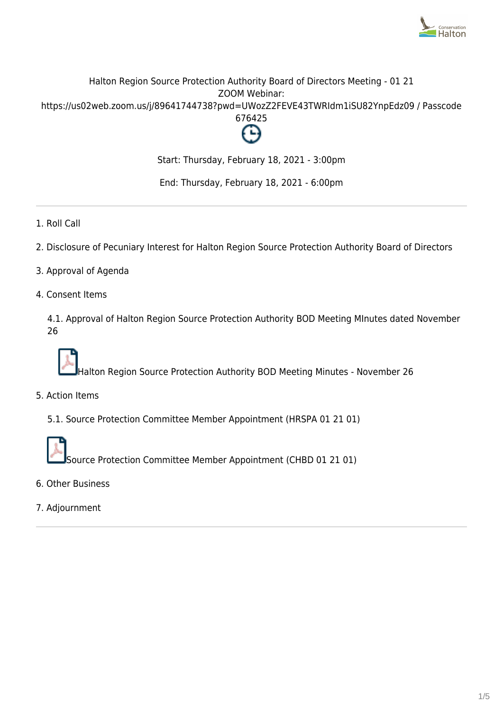

# Halton Region Source Protection Authority Board of Directors Meeting - 01 21 ZOOM Webinar: https://us02web.zoom.us/j/89641744738?pwd=UWozZ2FEVE43TWRIdm1iSU82YnpEdz09 / Passcode 676425



Start: Thursday, February 18, 2021 - 3:00pm

End: Thursday, February 18, 2021 - 6:00pm

- 1. Roll Call
- 2. Disclosure of Pecuniary Interest for Halton Region Source Protection Authority Board of Directors
- 3. Approval of Agenda
- 4. Consent Items

4.1. Approval of Halton Region Source Protection Authority BOD Meeting MInutes dated November 26



Halton Region Source Protection Authority BOD Meeting Minutes - November 26

5. Action Items

5.1. Source Protection Committee Member Appointment (HRSPA 01 21 01)



Source Protection Committee Member Appointment (CHBD 01 21 01)

- 6. Other Business
- 7. Adjournment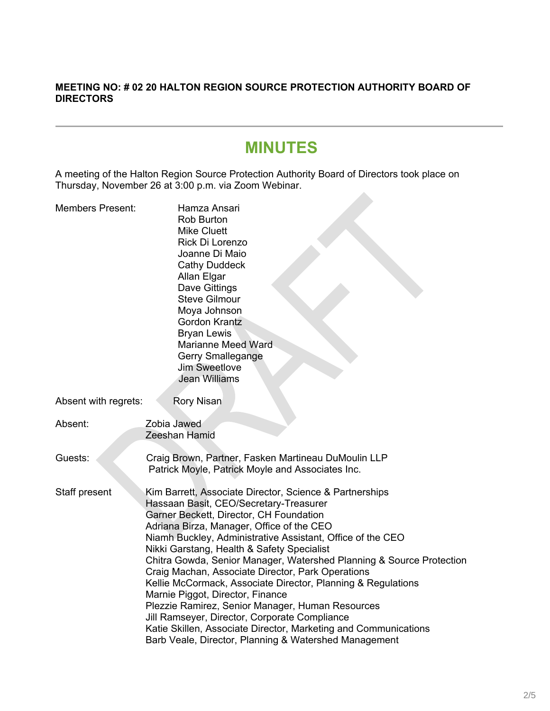### **MEETING NO: # 02 20 HALTON REGION SOURCE PROTECTION AUTHORITY BOARD OF DIRECTORS**

# **MINUTES**

A meeting of the Halton Region Source Protection Authority Board of Directors took place on Thursday, November 26 at 3:00 p.m. via Zoom Webinar.  $\mathcal{L}_{\mathcal{M}}$ 

| <b>Members Present:</b> | Hamza Ansari<br><b>Rob Burton</b><br><b>Mike Cluett</b><br>Rick Di Lorenzo<br>Joanne Di Maio<br><b>Cathy Duddeck</b><br>Allan Elgar<br>Dave Gittings<br><b>Steve Gilmour</b><br>Moya Johnson<br><b>Gordon Krantz</b><br><b>Bryan Lewis</b><br><b>Marianne Meed Ward</b><br><b>Gerry Smallegange</b><br><b>Jim Sweetlove</b><br>Jean Williams                                                                                                                                                                                                                                                                                                                                                                                                                            |
|-------------------------|-------------------------------------------------------------------------------------------------------------------------------------------------------------------------------------------------------------------------------------------------------------------------------------------------------------------------------------------------------------------------------------------------------------------------------------------------------------------------------------------------------------------------------------------------------------------------------------------------------------------------------------------------------------------------------------------------------------------------------------------------------------------------|
| Absent with regrets:    | <b>Rory Nisan</b>                                                                                                                                                                                                                                                                                                                                                                                                                                                                                                                                                                                                                                                                                                                                                       |
| Absent:                 | Zobia Jawed<br>Zeeshan Hamid                                                                                                                                                                                                                                                                                                                                                                                                                                                                                                                                                                                                                                                                                                                                            |
| Guests:                 | Craig Brown, Partner, Fasken Martineau DuMoulin LLP<br>Patrick Moyle, Patrick Moyle and Associates Inc.                                                                                                                                                                                                                                                                                                                                                                                                                                                                                                                                                                                                                                                                 |
| Staff present           | Kim Barrett, Associate Director, Science & Partnerships<br>Hassaan Basit, CEO/Secretary-Treasurer<br>Garner Beckett, Director, CH Foundation<br>Adriana Birza, Manager, Office of the CEO<br>Niamh Buckley, Administrative Assistant, Office of the CEO<br>Nikki Garstang, Health & Safety Specialist<br>Chitra Gowda, Senior Manager, Watershed Planning & Source Protection<br>Craig Machan, Associate Director, Park Operations<br>Kellie McCormack, Associate Director, Planning & Regulations<br>Marnie Piggot, Director, Finance<br>Plezzie Ramirez, Senior Manager, Human Resources<br>Jill Ramseyer, Director, Corporate Compliance<br>Katie Skillen, Associate Director, Marketing and Communications<br>Barb Veale, Director, Planning & Watershed Management |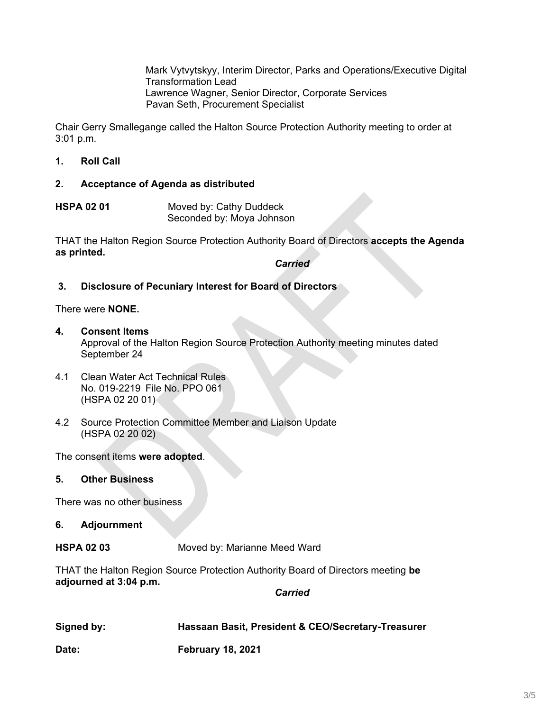Mark Vytvytskyy, Interim Director, Parks and Operations/Executive Digital Transformation Lead Lawrence Wagner, Senior Director, Corporate Services Pavan Seth, Procurement Specialist

Chair Gerry Smallegange called the Halton Source Protection Authority meeting to order at 3:01 p.m.

**1. Roll Call**

#### **2. Acceptance of Agenda as distributed**

**HSPA 02 01** Moved by: Cathy Duddeck Seconded by: Moya Johnson

THAT the Halton Region Source Protection Authority Board of Directors **accepts the Agenda as printed.**

*Carried*

# **3. Disclosure of Pecuniary Interest for Board of Directors**

There were **NONE.**

**4. Consent Items**

Approval of the Halton Region Source Protection Authority meeting minutes dated September 24

- 4.1 Clean Water Act Technical Rules No. 019-2219 File No. PPO 061 (HSPA 02 20 01)
- 4.2 Source Protection Committee Member and Liaison Update (HSPA 02 20 02)

The consent items **were adopted**.

#### **5. Other Business**

There was no other business

#### **6. Adjournment**

**HSPA 02 03** Moved by: Marianne Meed Ward

THAT the Halton Region Source Protection Authority Board of Directors meeting **be adjourned at 3:04 p.m.**

*Carried*

| Signed by: | Hassaan Basit, President & CEO/Secretary-Treasurer |
|------------|----------------------------------------------------|
|            |                                                    |

**Date: February 18, 2021**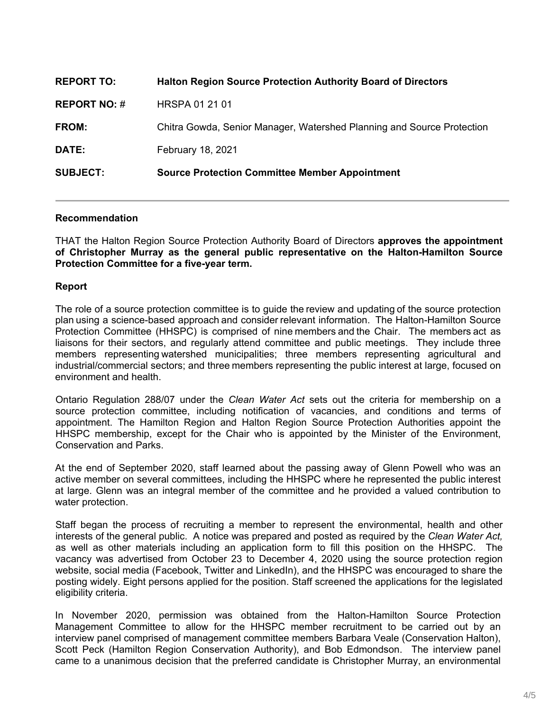| <b>SUBJECT:</b>     | <b>Source Protection Committee Member Appointment</b>                  |
|---------------------|------------------------------------------------------------------------|
| DATE:               | <b>February 18, 2021</b>                                               |
| <b>FROM:</b>        | Chitra Gowda, Senior Manager, Watershed Planning and Source Protection |
| <b>REPORT NO: #</b> | <b>HRSPA 01 21 01</b>                                                  |
| <b>REPORT TO:</b>   | <b>Halton Region Source Protection Authority Board of Directors</b>    |

#### **Recommendation**

THAT the Halton Region Source Protection Authority Board of Directors **approves the appointment of Christopher Murray as the general public representative on the Halton-Hamilton Source Protection Committee for a five-year term.**

#### **Report**

The role of a source protection committee is to guide the review and updating of the source protection plan using a science-based approach and consider relevant information.  The Halton-Hamilton Source Protection Committee (HHSPC) is comprised of nine members and the Chair. The members act as liaisons for their sectors, and regularly attend committee and public meetings. They include three members representing watershed municipalities; three members representing agricultural and industrial/commercial sectors; and three members representing the public interest at large, focused on environment and health.

Ontario Regulation 288/07 under the *Clean Water Act* sets out the criteria for membership on a source protection committee, including notification of vacancies, and conditions and terms of appointment. The Hamilton Region and Halton Region Source Protection Authorities appoint the HHSPC membership, except for the Chair who is appointed by the Minister of the Environment, Conservation and Parks.

At the end of September 2020, staff learned about the passing away of Glenn Powell who was an active member on several committees, including the HHSPC where he represented the public interest at large. Glenn was an integral member of the committee and he provided a valued contribution to water protection.

Staff began the process of recruiting a member to represent the environmental, health and other interests of the general public. A notice was prepared and posted as required by the *Clean Water Act,* as well as other materials including an application form to fill this position on the HHSPC. The vacancy was advertised from October 23 to December 4, 2020 using the source protection region website, social media (Facebook, Twitter and LinkedIn), and the HHSPC was encouraged to share the posting widely. Eight persons applied for the position. Staff screened the applications for the legislated eligibility criteria.

In November 2020, permission was obtained from the Halton-Hamilton Source Protection Management Committee to allow for the HHSPC member recruitment to be carried out by an interview panel comprised of management committee members Barbara Veale (Conservation Halton), Scott Peck (Hamilton Region Conservation Authority), and Bob Edmondson. The interview panel came to a unanimous decision that the preferred candidate is Christopher Murray, an environmental